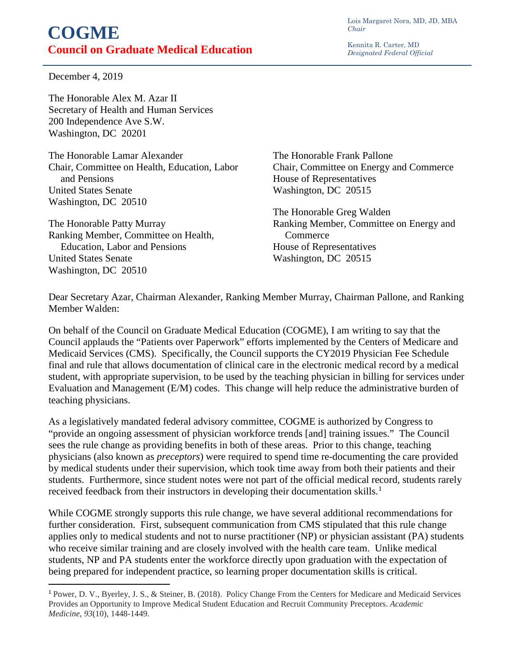Lois Margaret Nora, MD, JD, MBA *Chair*

Kennita R. Carter, MD *Designated Federal Official* 

## **COGME Council on Graduate Medical Education**

December 4, 2019

 $\overline{a}$ 

The Honorable Alex M. Azar II Secretary of Health and Human Services 200 Independence Ave S.W. Washington, DC 20201

The Honorable Lamar Alexander Chair, Committee on Health, Education, Labor and Pensions United States Senate Washington, DC 20510

The Honorable Patty Murray Ranking Member, Committee on Health, Education, Labor and Pensions United States Senate Washington, DC 20510

The Honorable Frank Pallone Chair, Committee on Energy and Commerce House of Representatives Washington, DC 20515

The Honorable Greg Walden Ranking Member, Committee on Energy and **Commerce** House of Representatives Washington, DC 20515

Dear Secretary Azar, Chairman Alexander, Ranking Member Murray, Chairman Pallone, and Ranking Member Walden:

On behalf of the Council on Graduate Medical Education (COGME), I am writing to say that the Council applauds the "Patients over Paperwork" efforts implemented by the Centers of Medicare and Medicaid Services (CMS). Specifically, the Council supports the CY2019 Physician Fee Schedule final and rule that allows documentation of clinical care in the electronic medical record by a medical student, with appropriate supervision, to be used by the teaching physician in billing for services under Evaluation and Management (E/M) codes. This change will help reduce the administrative burden of teaching physicians.

As a legislatively mandated federal advisory committee, COGME is authorized by Congress to "provide an ongoing assessment of physician workforce trends [and] training issues." The Council sees the rule change as providing benefits in both of these areas. Prior to this change, teaching physicians (also known as *preceptors*) were required to spend time re-documenting the care provided by medical students under their supervision, which took time away from both their patients and their students. Furthermore, since student notes were not part of the official medical record, students rarely received feedback from their instructors in developing their documentation skills.<sup>[1](#page-0-0)</sup>

While COGME strongly supports this rule change, we have several additional recommendations for further consideration. First, subsequent communication from CMS stipulated that this rule change applies only to medical students and not to nurse practitioner (NP) or physician assistant (PA) students who receive similar training and are closely involved with the health care team. Unlike medical students, NP and PA students enter the workforce directly upon graduation with the expectation of being prepared for independent practice, so learning proper documentation skills is critical.

<span id="page-0-0"></span><sup>1</sup> Power, D. V., Byerley, J. S., & Steiner, B. (2018). Policy Change From the Centers for Medicare and Medicaid Services Provides an Opportunity to Improve Medical Student Education and Recruit Community Preceptors. *Academic Medicine*, *93*(10), 1448-1449.